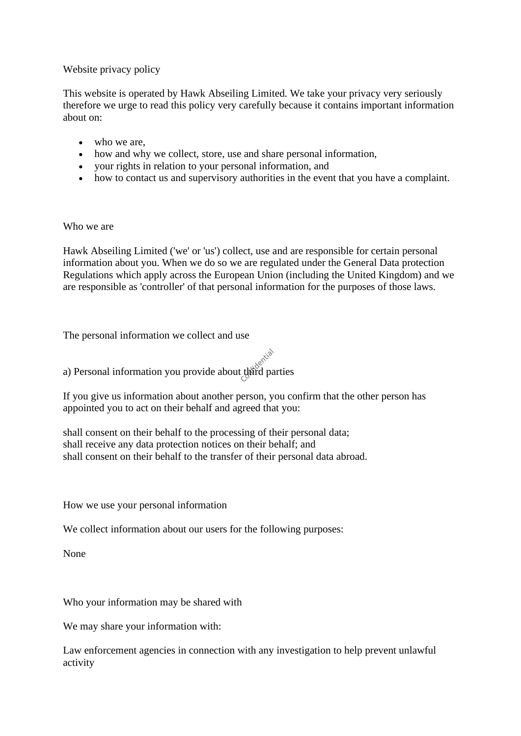## Website privacy policy

This website is operated by Hawk Abseiling Limited. We take your privacy very seriously therefore we urge to read this policy very carefully because it contains important information about on:

- who we are,
- how and why we collect, store, use and share personal information,
- your rights in relation to your personal information, and
- how to contact us and supervisory authorities in the event that you have a complaint.

## Who we are

Hawk Abseiling Limited ('we' or 'us') collect, use and are responsible for certain personal information about you. When we do so we are regulated under the General Data protection Regulations which apply across the European Union (including the United Kingdom) and we are responsible as 'controller' of that personal information for the purposes of those laws.

The personal information we collect and use

a) Personal information you provide about third parties

If you give us information about another person, you confirm that the other person has appointed you to act on their behalf and agreed that you:

shall consent on their behalf to the processing of their personal data; shall receive any data protection notices on their behalf; and shall consent on their behalf to the transfer of their personal data abroad.

How we use your personal information

We collect information about our users for the following purposes:

None

Who your information may be shared with

We may share your information with:

Law enforcement agencies in connection with any investigation to help prevent unlawful activity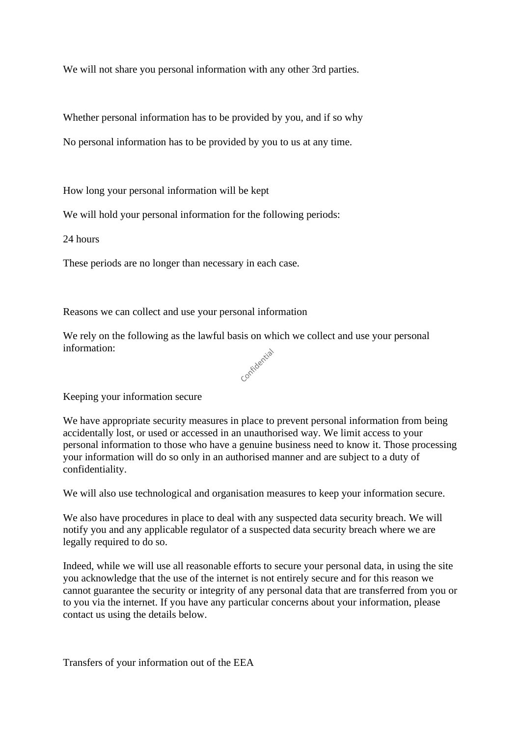We will not share you personal information with any other 3rd parties.

Whether personal information has to be provided by you, and if so why

No personal information has to be provided by you to us at any time.

How long your personal information will be kept

We will hold your personal information for the following periods:

24 hours

These periods are no longer than necessary in each case.

Reasons we can collect and use your personal information

We rely on the following as the lawful basis on which we collect and use your personal information:<br> $\cos \theta$ information:



Keeping your information secure

We have appropriate security measures in place to prevent personal information from being accidentally lost, or used or accessed in an unauthorised way. We limit access to your personal information to those who have a genuine business need to know it. Those processing your information will do so only in an authorised manner and are subject to a duty of confidentiality.

We will also use technological and organisation measures to keep your information secure.

We also have procedures in place to deal with any suspected data security breach. We will notify you and any applicable regulator of a suspected data security breach where we are legally required to do so.

Indeed, while we will use all reasonable efforts to secure your personal data, in using the site you acknowledge that the use of the internet is not entirely secure and for this reason we cannot guarantee the security or integrity of any personal data that are transferred from you or to you via the internet. If you have any particular concerns about your information, please contact us using the details below.

Transfers of your information out of the EEA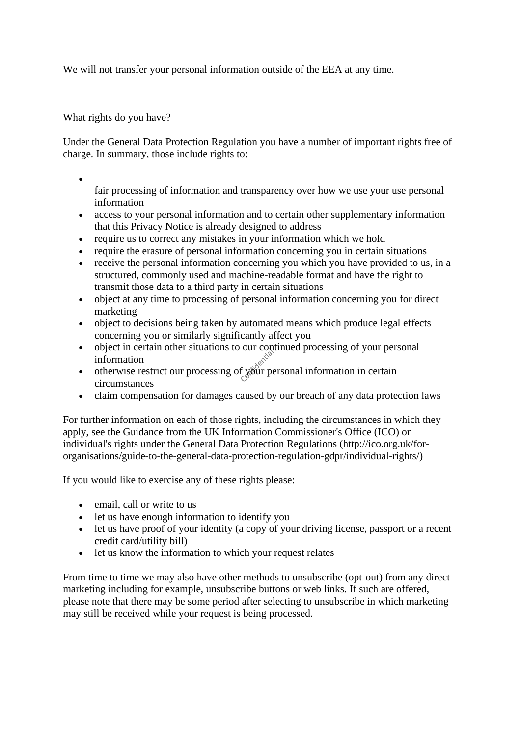We will not transfer your personal information outside of the EEA at any time.

What rights do you have?

•

Under the General Data Protection Regulation you have a number of important rights free of charge. In summary, those include rights to:

fair processing of information and transparency over how we use your use personal information

- access to your personal information and to certain other supplementary information that this Privacy Notice is already designed to address
- require us to correct any mistakes in your information which we hold
- require the erasure of personal information concerning you in certain situations
- receive the personal information concerning you which you have provided to us, in a structured, commonly used and machine-readable format and have the right to transmit those data to a third party in certain situations
- object at any time to processing of personal information concerning you for direct marketing
- object to decisions being taken by automated means which produce legal effects concerning you or similarly significantly affect you
- object in certain other situations to our continued processing of your personal information
- otherwise restrict our processing of your personal information in certain circumstances
- claim compensation for damages caused by our breach of any data protection laws

For further information on each of those rights, including the circumstances in which they apply, see the Guidance from the UK Information Commissioner's Office (ICO) on individual's rights under the General Data Protection Regulations (http://ico.org.uk/fororganisations/guide-to-the-general-data-protection-regulation-gdpr/individual-rights/)

If you would like to exercise any of these rights please:

- email, call or write to us
- let us have enough information to identify you
- let us have proof of your identity (a copy of your driving license, passport or a recent credit card/utility bill)
- let us know the information to which your request relates

From time to time we may also have other methods to unsubscribe (opt-out) from any direct marketing including for example, unsubscribe buttons or web links. If such are offered, please note that there may be some period after selecting to unsubscribe in which marketing may still be received while your request is being processed.